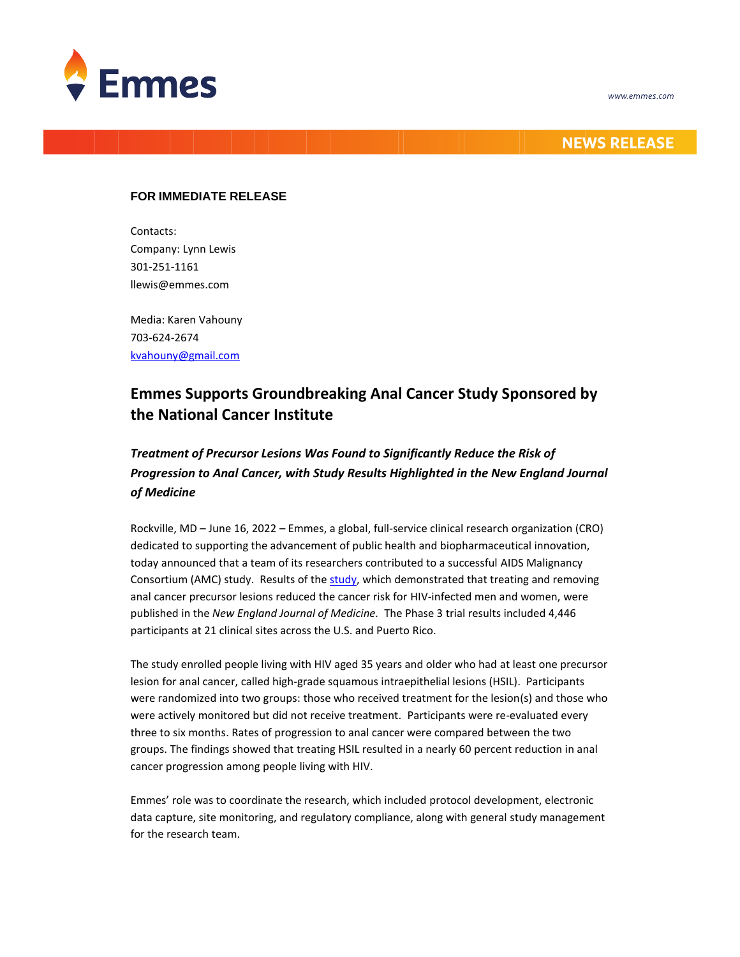

## **NEWS RELEASE**

## **FOR IMMEDIATE RELEASE**

Contacts: Company: Lynn Lewis 301-251-1161 llewis@emmes.com

Media: Karen Vahouny 703-624-2674 [kvahouny@gmail.com](mailto:kvahouny@gmail.com)

# **Emmes Supports Groundbreaking Anal Cancer Study Sponsored by the National Cancer Institute**

## *Treatment of Precursor Lesions Was Found to Significantly Reduce the Risk of Progression to Anal Cancer, with Study Results Highlighted in the New England Journal of Medicine*

Rockville, MD – June 16, 2022 – Emmes, a global, full-service clinical research organization (CRO) dedicated to supporting the advancement of public health and biopharmaceutical innovation, today announced that a team of its researchers contributed to a successful AIDS Malignancy Consortium (AMC) study. Results of the [study,](https://www.nejm.org/doi/full/10.1056/NEJMoa2201048) which demonstrated that treating and removing anal cancer precursor lesions reduced the cancer risk for HIV-infected men and women, were published in the *New England Journal of Medicine.* The Phase 3 trial results included 4,446 participants at 21 clinical sites across the U.S. and Puerto Rico.

The study enrolled people living with HIV aged 35 years and older who had at least one precursor lesion for anal cancer, called high-grade squamous intraepithelial lesions (HSIL). Participants were randomized into two groups: those who received treatment for the lesion(s) and those who were actively monitored but did not receive treatment. Participants were re-evaluated every three to six months. Rates of progression to anal cancer were compared between the two groups. The findings showed that treating HSIL resulted in a nearly 60 percent reduction in anal cancer progression among people living with HIV.

Emmes' role was to coordinate the research, which included protocol development, electronic data capture, site monitoring, and regulatory compliance, along with general study management for the research team.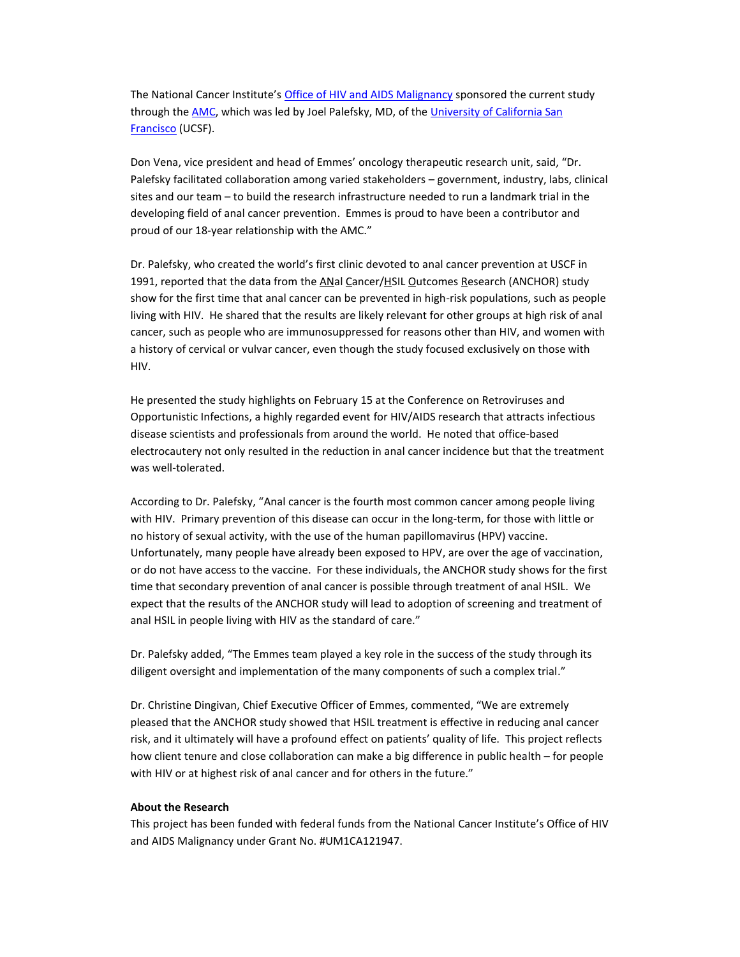The National Cancer Institute's [Office of HIV and AIDS Malignancy](https://www.cancer.gov/about-nci/organization/oham) sponsored the current study through th[e AMC,](https://amcoperations.com/) which was led by Joel Palefsky, MD, of the [University of California San](https://www.ucsfhealth.org/)  [Francisco](https://www.ucsfhealth.org/) (UCSF).

Don Vena, vice president and head of Emmes' oncology therapeutic research unit, said, "Dr. Palefsky facilitated collaboration among varied stakeholders – government, industry, labs, clinical sites and our team – to build the research infrastructure needed to run a landmark trial in the developing field of anal cancer prevention. Emmes is proud to have been a contributor and proud of our 18-year relationship with the AMC."

Dr. Palefsky, who created the world's first clinic devoted to anal cancer prevention at USCF in 1991, reported that the data from the ANal Cancer/HSIL Outcomes Research (ANCHOR) study show for the first time that anal cancer can be prevented in high-risk populations, such as people living with HIV. He shared that the results are likely relevant for other groups at high risk of anal cancer, such as people who are immunosuppressed for reasons other than HIV, and women with a history of cervical or vulvar cancer, even though the study focused exclusively on those with HIV.

He presented the study highlights on February 15 at the Conference on Retroviruses and Opportunistic Infections, a highly regarded event for HIV/AIDS research that attracts infectious disease scientists and professionals from around the world. He noted that office-based electrocautery not only resulted in the reduction in anal cancer incidence but that the treatment was well-tolerated.

According to Dr. Palefsky, "Anal cancer is the fourth most common cancer among people living with HIV. Primary prevention of this disease can occur in the long-term, for those with little or no history of sexual activity, with the use of the human papillomavirus (HPV) vaccine. Unfortunately, many people have already been exposed to HPV, are over the age of vaccination, or do not have access to the vaccine. For these individuals, the ANCHOR study shows for the first time that secondary prevention of anal cancer is possible through treatment of anal HSIL. We expect that the results of the ANCHOR study will lead to adoption of screening and treatment of anal HSIL in people living with HIV as the standard of care."

Dr. Palefsky added, "The Emmes team played a key role in the success of the study through its diligent oversight and implementation of the many components of such a complex trial."

Dr. Christine Dingivan, Chief Executive Officer of Emmes, commented, "We are extremely pleased that the ANCHOR study showed that HSIL treatment is effective in reducing anal cancer risk, and it ultimately will have a profound effect on patients' quality of life. This project reflects how client tenure and close collaboration can make a big difference in public health – for people with HIV or at highest risk of anal cancer and for others in the future."

#### **About the Research**

This project has been funded with federal funds from the National Cancer Institute's Office of HIV and AIDS Malignancy under Grant No. #UM1CA121947.